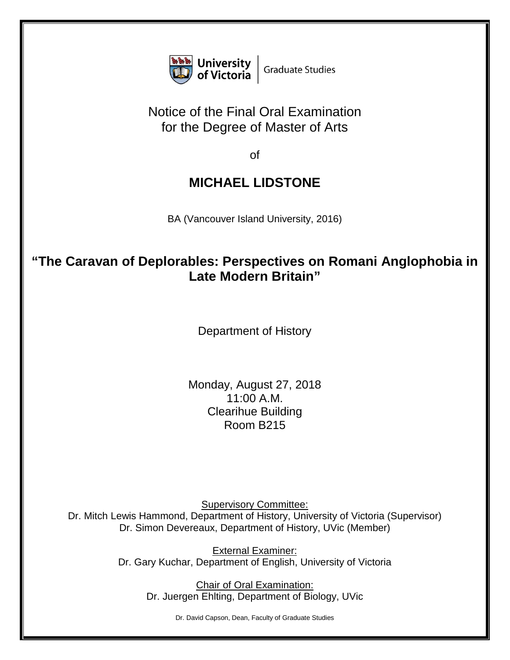

## Notice of the Final Oral Examination for the Degree of Master of Arts

of

## **MICHAEL LIDSTONE**

BA (Vancouver Island University, 2016)

## **"The Caravan of Deplorables: Perspectives on Romani Anglophobia in Late Modern Britain"**

Department of History

Monday, August 27, 2018 11:00 A.M. Clearihue Building Room B215

Supervisory Committee: Dr. Mitch Lewis Hammond, Department of History, University of Victoria (Supervisor) Dr. Simon Devereaux, Department of History, UVic (Member)

> External Examiner: Dr. Gary Kuchar, Department of English, University of Victoria

> > Chair of Oral Examination: Dr. Juergen Ehlting, Department of Biology, UVic

> > > Dr. David Capson, Dean, Faculty of Graduate Studies